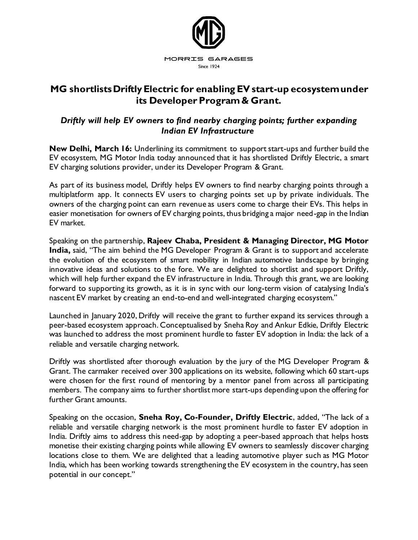

## **MG shortlists Driftly Electric for enabling EV start-up ecosystem under its Developer Program & Grant.**

## *Driftly will help EV owners to find nearby charging points; further expanding Indian EV Infrastructure*

**New Delhi, March 16:** Underlining its commitment to support start-ups and further build the EV ecosystem, MG Motor India today announced that it has shortlisted Driftly Electric, a smart EV charging solutions provider, under its Developer Program & Grant.

As part of its business model, Driftly helps EV owners to find nearby charging points through a multiplatform app. It connects EV users to charging points set up by private individuals. The owners of the charging point can earn revenue as users come to charge their EVs. This helps in easier monetisation for owners of EV charging points, thus bridging a major need-gap in the Indian EV market.

Speaking on the partnership, **Rajeev Chaba, President & Managing Director, MG Motor India,** said, "The aim behind the MG Developer Program & Grant is to support and accelerate the evolution of the ecosystem of smart mobility in Indian automotive landscape by bringing innovative ideas and solutions to the fore. We are delighted to shortlist and support Driftly, which will help further expand the EV infrastructure in India. Through this grant, we are looking forward to supporting its growth, as it is in sync with our long-term vision of catalysing India's nascent EV market by creating an end-to-end and well-integrated charging ecosystem."

Launched in January 2020, Driftly will receive the grant to further expand its services through a peer-based ecosystem approach. Conceptualised by Sneha Roy and Ankur Edkie, Driftly Electric was launched to address the most prominent hurdle to faster EV adoption in India: the lack of a reliable and versatile charging network.

Driftly was shortlisted after thorough evaluation by the jury of the MG Developer Program & Grant. The carmaker received over 300 applications on its website, following which 60 start-ups were chosen for the first round of mentoring by a mentor panel from across all participating members. The company aims to further shortlist more start-ups depending upon the offering for further Grant amounts.

Speaking on the occasion, **Sneha Roy, Co-Founder, Driftly Electric**, added, "The lack of a reliable and versatile charging network is the most prominent hurdle to faster EV adoption in India. Driftly aims to address this need-gap by adopting a peer-based approach that helps hosts monetise their existing charging points while allowing EV owners to seamlessly discover charging locations close to them. We are delighted that a leading automotive player such as MG Motor India, which has been working towards strengthening the EV ecosystem in the country, has seen potential in our concept."